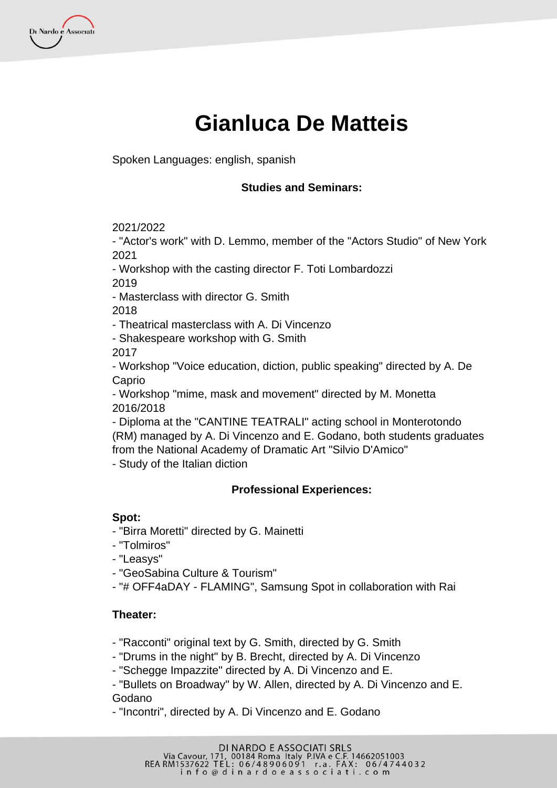

Spoken Languages: english, spanish

### **Studies and Seminars:**

2021/2022

- "Actor's work" with D. Lemmo, member of the "Actors Studio" of New York 2021

- Workshop with the casting director F. Toti Lombardozzi

2019

Di Nardo e Associati

- Masterclass with director G. Smith

2018

- Theatrical masterclass with A. Di Vincenzo

- Shakespeare workshop with G. Smith

2017

- Workshop "Voice education, diction, public speaking" directed by A. De Caprio

- Workshop "mime, mask and movement" directed by M. Monetta 2016/2018

- Diploma at the "CANTINE TEATRALI" acting school in Monterotondo (RM) managed by A. Di Vincenzo and E. Godano, both students graduates from the National Academy of Dramatic Art "Silvio D'Amico"

- Study of the Italian diction

# **Professional Experiences:**

# **Spot:**

- "Birra Moretti" directed by G. Mainetti
- "Tolmiros"
- "Leasys"
- "GeoSabina Culture & Tourism"
- "# OFF4aDAY FLAMING", Samsung Spot in collaboration with Rai

# **Theater:**

- "Racconti" original text by G. Smith, directed by G. Smith

- "Drums in the night" by B. Brecht, directed by A. Di Vincenzo

- "Schegge Impazzite" directed by A. Di Vincenzo and E.

- "Bullets on Broadway" by W. Allen, directed by A. Di Vincenzo and E. Godano

- "Incontri", directed by A. Di Vincenzo and E. Godano